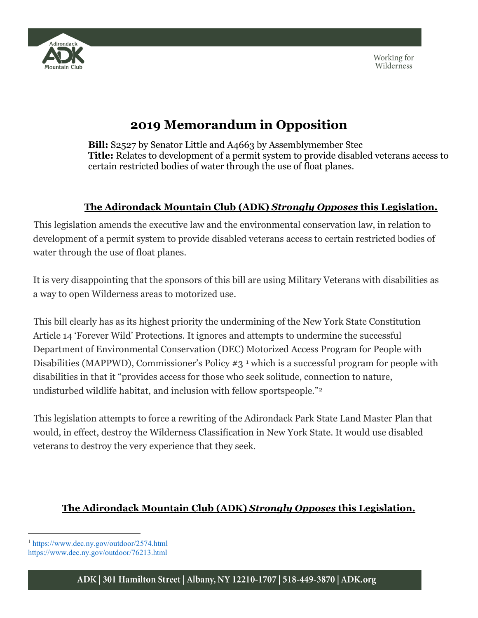



## **2019 Memorandum in Opposition**

**Bill:** S2527 by Senator Little and A4663 by Assemblymember Stec **Title:** Relates to development of a permit system to provide disabled veterans access to certain restricted bodies of water through the use of float planes.

## **The Adirondack Mountain Club (ADK)** *Strongly Opposes* **this Legislation.**

This legislation amends the executive law and the environmental conservation law, in relation to development of a permit system to provide disabled veterans access to certain restricted bodies of water through the use of float planes.

It is very disappointing that the sponsors of this bill are using Military Veterans with disabilities as a way to open Wilderness areas to motorized use.

This bill clearly has as its highest priority the undermining of the New York State Constitution Article 14 'Forever Wild' Protections. It ignores and attempts to undermine the successful Department of Environmental Conservation (DEC) Motorized Access Program for People with Disabilities (MAPPWD), Commissioner's Policy #3<sup>[1](#page-0-0)</sup> which is a successful program for people with disabilities in that it "provides access for those who seek solitude, connection to nature, undisturbed wildlife habitat, and inclusion with fellow sportspeople."<sup>[2](#page-1-0)</sup>

This legislation attempts to force a rewriting of the Adirondack Park State Land Master Plan that would, in effect, destroy the Wilderness Classification in New York State. It would use disabled veterans to destroy the very experience that they seek.

## **The Adirondack Mountain Club (ADK)** *Strongly Opposes* **this Legislation.**

I

<span id="page-0-0"></span><sup>1</sup> <https://www.dec.ny.gov/outdoor/2574.html>

<https://www.dec.ny.gov/outdoor/76213.html>